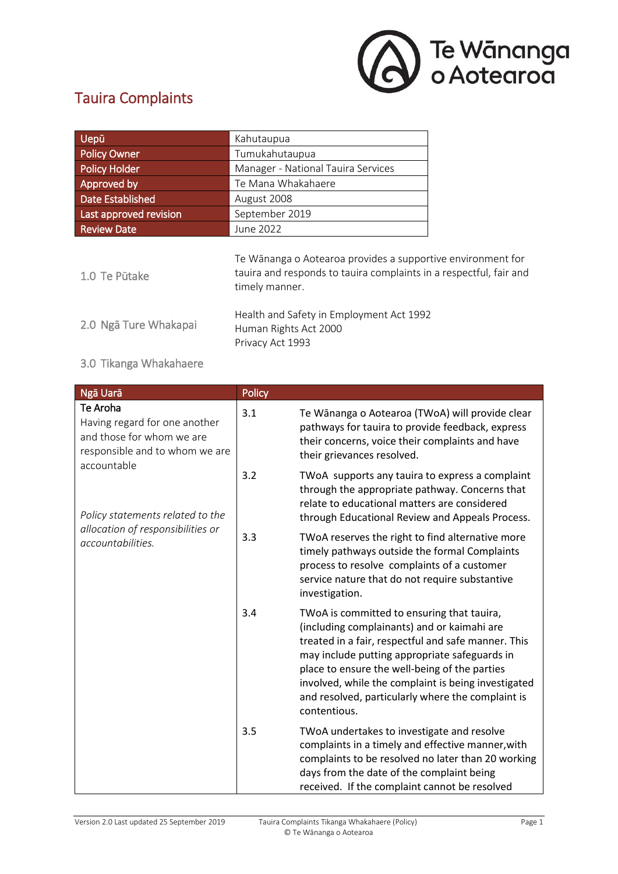

# Tauira Complaints

| <b>Uepū</b>             | Kahutaupua                                                                                                                                          |  |
|-------------------------|-----------------------------------------------------------------------------------------------------------------------------------------------------|--|
| <b>Policy Owner</b>     | Tumukahutaupua                                                                                                                                      |  |
| <b>Policy Holder</b>    | Manager - National Tauira Services                                                                                                                  |  |
| Approved by             | Te Mana Whakahaere                                                                                                                                  |  |
| <b>Date Established</b> | August 2008                                                                                                                                         |  |
| Last approved revision  | September 2019                                                                                                                                      |  |
| <b>Review Date</b>      | June 2022                                                                                                                                           |  |
| 1.0 Te Pūtake           | Te Wānanga o Aotearoa provides a supportive environment for<br>tauira and responds to tauira complaints in a respectful, fair and<br>timely manner. |  |
| 2.0 Ngā Ture Whakapai   | Health and Safety in Employment Act 1992<br>Human Rights Act 2000<br>Privacy Act 1993                                                               |  |

## 3.0 Tikanga Whakahaere

| Ngā Uarā                                                                                                                                                                                                              | Policy |                                                                                                                                                                                                                                                                                                                                                                                |
|-----------------------------------------------------------------------------------------------------------------------------------------------------------------------------------------------------------------------|--------|--------------------------------------------------------------------------------------------------------------------------------------------------------------------------------------------------------------------------------------------------------------------------------------------------------------------------------------------------------------------------------|
| Te Aroha<br>Having regard for one another<br>and those for whom we are<br>responsible and to whom we are<br>accountable<br>Policy statements related to the<br>allocation of responsibilities or<br>accountabilities. | 3.1    | Te Wānanga o Aotearoa (TWoA) will provide clear<br>pathways for tauira to provide feedback, express<br>their concerns, voice their complaints and have<br>their grievances resolved.                                                                                                                                                                                           |
|                                                                                                                                                                                                                       | 3.2    | TWoA supports any tauira to express a complaint<br>through the appropriate pathway. Concerns that<br>relate to educational matters are considered<br>through Educational Review and Appeals Process.                                                                                                                                                                           |
|                                                                                                                                                                                                                       | 3.3    | TWoA reserves the right to find alternative more<br>timely pathways outside the formal Complaints<br>process to resolve complaints of a customer<br>service nature that do not require substantive<br>investigation.                                                                                                                                                           |
|                                                                                                                                                                                                                       | 3.4    | TWoA is committed to ensuring that tauira,<br>(including complainants) and or kaimahi are<br>treated in a fair, respectful and safe manner. This<br>may include putting appropriate safeguards in<br>place to ensure the well-being of the parties<br>involved, while the complaint is being investigated<br>and resolved, particularly where the complaint is<br>contentious. |
|                                                                                                                                                                                                                       | 3.5    | TWoA undertakes to investigate and resolve<br>complaints in a timely and effective manner, with<br>complaints to be resolved no later than 20 working<br>days from the date of the complaint being<br>received. If the complaint cannot be resolved                                                                                                                            |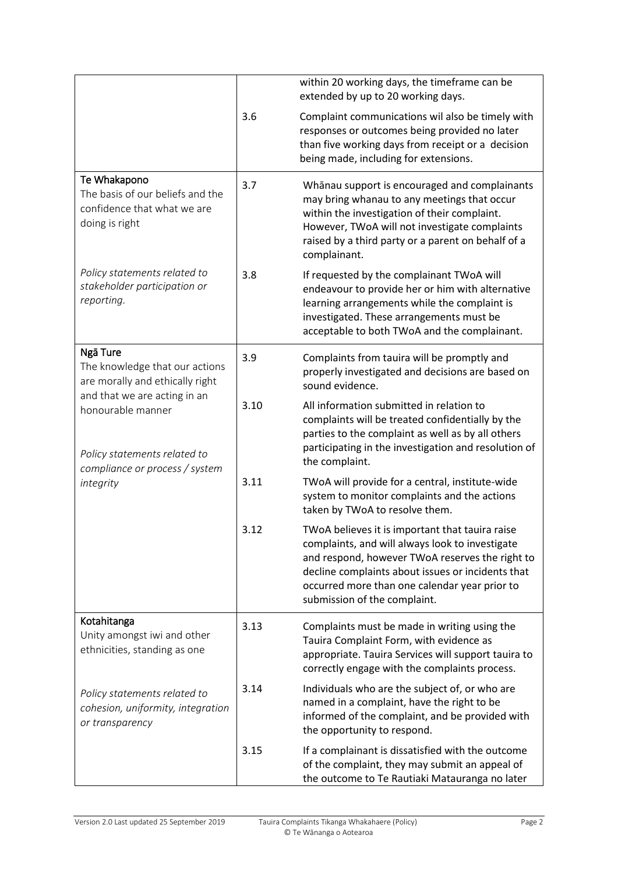|                                                                                                               |      | within 20 working days, the timeframe can be<br>extended by up to 20 working days.                                                                                                                                                                                                          |
|---------------------------------------------------------------------------------------------------------------|------|---------------------------------------------------------------------------------------------------------------------------------------------------------------------------------------------------------------------------------------------------------------------------------------------|
|                                                                                                               | 3.6  | Complaint communications wil also be timely with<br>responses or outcomes being provided no later<br>than five working days from receipt or a decision<br>being made, including for extensions.                                                                                             |
| Te Whakapono<br>The basis of our beliefs and the<br>confidence that what we are<br>doing is right             | 3.7  | Whanau support is encouraged and complainants<br>may bring whanau to any meetings that occur<br>within the investigation of their complaint.<br>However, TWoA will not investigate complaints<br>raised by a third party or a parent on behalf of a<br>complainant.                         |
| Policy statements related to<br>stakeholder participation or<br>reporting.                                    | 3.8  | If requested by the complainant TWoA will<br>endeavour to provide her or him with alternative<br>learning arrangements while the complaint is<br>investigated. These arrangements must be<br>acceptable to both TWoA and the complainant.                                                   |
| Ngā Ture<br>The knowledge that our actions<br>are morally and ethically right<br>and that we are acting in an | 3.9  | Complaints from tauira will be promptly and<br>properly investigated and decisions are based on<br>sound evidence.                                                                                                                                                                          |
| honourable manner<br>Policy statements related to<br>compliance or process / system                           | 3.10 | All information submitted in relation to<br>complaints will be treated confidentially by the<br>parties to the complaint as well as by all others<br>participating in the investigation and resolution of<br>the complaint.                                                                 |
| integrity                                                                                                     | 3.11 | TWoA will provide for a central, institute-wide<br>system to monitor complaints and the actions<br>taken by TWoA to resolve them.                                                                                                                                                           |
|                                                                                                               | 3.12 | TWoA believes it is important that tauira raise<br>complaints, and will always look to investigate<br>and respond, however TWoA reserves the right to<br>decline complaints about issues or incidents that<br>occurred more than one calendar year prior to<br>submission of the complaint. |
| Kotahitanga<br>Unity amongst iwi and other<br>ethnicities, standing as one                                    | 3.13 | Complaints must be made in writing using the<br>Tauira Complaint Form, with evidence as<br>appropriate. Tauira Services will support tauira to<br>correctly engage with the complaints process.                                                                                             |
| Policy statements related to<br>cohesion, uniformity, integration<br>or transparency                          | 3.14 | Individuals who are the subject of, or who are<br>named in a complaint, have the right to be<br>informed of the complaint, and be provided with<br>the opportunity to respond.                                                                                                              |
|                                                                                                               | 3.15 | If a complainant is dissatisfied with the outcome<br>of the complaint, they may submit an appeal of<br>the outcome to Te Rautiaki Matauranga no later                                                                                                                                       |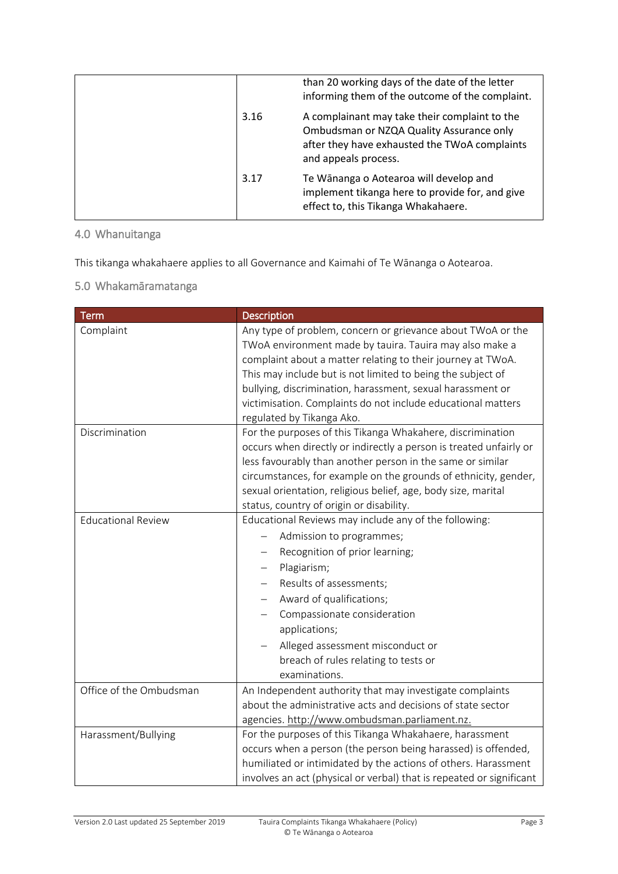|      | than 20 working days of the date of the letter<br>informing them of the outcome of the complaint.                                                                  |
|------|--------------------------------------------------------------------------------------------------------------------------------------------------------------------|
| 3.16 | A complainant may take their complaint to the<br>Ombudsman or NZQA Quality Assurance only<br>after they have exhausted the TWoA complaints<br>and appeals process. |
| 3.17 | Te Wānanga o Aotearoa will develop and<br>implement tikanga here to provide for, and give<br>effect to, this Tikanga Whakahaere.                                   |

### 4.0 Whanuitanga

This tikanga whakahaere applies to all Governance and Kaimahi of Te Wānanga o Aotearoa.

### 5.0 Whakamāramatanga

| <b>Term</b>               | <b>Description</b>                                                                                                         |  |
|---------------------------|----------------------------------------------------------------------------------------------------------------------------|--|
| Complaint                 | Any type of problem, concern or grievance about TWoA or the                                                                |  |
|                           | TWoA environment made by tauira. Tauira may also make a                                                                    |  |
|                           | complaint about a matter relating to their journey at TWoA.                                                                |  |
|                           | This may include but is not limited to being the subject of                                                                |  |
|                           | bullying, discrimination, harassment, sexual harassment or<br>victimisation. Complaints do not include educational matters |  |
|                           |                                                                                                                            |  |
|                           | regulated by Tikanga Ako.                                                                                                  |  |
| Discrimination            | For the purposes of this Tikanga Whakahere, discrimination                                                                 |  |
|                           | occurs when directly or indirectly a person is treated unfairly or                                                         |  |
|                           | less favourably than another person in the same or similar                                                                 |  |
|                           | circumstances, for example on the grounds of ethnicity, gender,                                                            |  |
|                           | sexual orientation, religious belief, age, body size, marital                                                              |  |
|                           | status, country of origin or disability.                                                                                   |  |
| <b>Educational Review</b> | Educational Reviews may include any of the following:                                                                      |  |
|                           | Admission to programmes;                                                                                                   |  |
|                           | Recognition of prior learning;                                                                                             |  |
|                           | Plagiarism;                                                                                                                |  |
|                           | Results of assessments;                                                                                                    |  |
|                           | Award of qualifications;<br>$\qquad \qquad -$                                                                              |  |
|                           | Compassionate consideration                                                                                                |  |
|                           | applications;                                                                                                              |  |
|                           | Alleged assessment misconduct or                                                                                           |  |
|                           | breach of rules relating to tests or                                                                                       |  |
|                           | examinations.                                                                                                              |  |
| Office of the Ombudsman   | An Independent authority that may investigate complaints                                                                   |  |
|                           | about the administrative acts and decisions of state sector                                                                |  |
|                           | agencies. http://www.ombudsman.parliament.nz.                                                                              |  |
| Harassment/Bullying       | For the purposes of this Tikanga Whakahaere, harassment                                                                    |  |
|                           | occurs when a person (the person being harassed) is offended,                                                              |  |
|                           | humiliated or intimidated by the actions of others. Harassment                                                             |  |
|                           | involves an act (physical or verbal) that is repeated or significant                                                       |  |